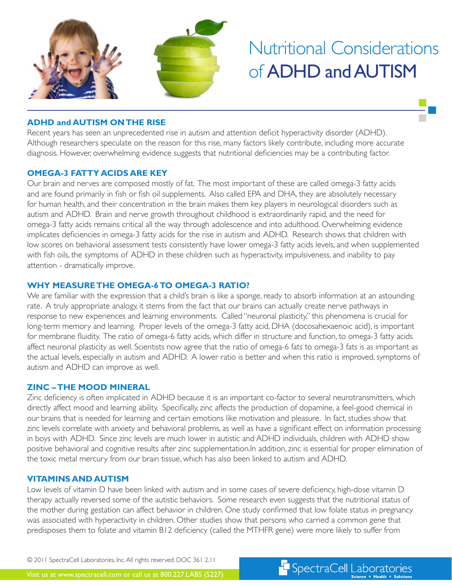

# Nutritional Considerations of ADHD and AUTISM

F SpectraCell Laboratories

# **ADHD and AUTISM ON THE RISE**

Recent years has seen an unprecedented rise in autism and attention deficit hyperactivity disorder (ADHD). Although researchers speculate on the reason for this rise, many factors likely contribute, including more accurate diagnosis. However, overwhelming evidence suggests that nutritional deficiencies may be a contributing factor.

#### **OMEGA-3 FATTY ACIDS ARE KEY**

Our brain and nerves are composed mostly of fat. The most important of these are called omega-3 fatty acids and are found primarily in fish or fish oil supplements. Also called EPA and DHA, they are absolutely necessary for human health, and their concentration in the brain makes them key players in neurological disorders such as autism and ADHD. Brain and nerve growth throughout childhood is extraordinarily rapid, and the need for omega-3 fatty acids remains critical all the way through adolescence and into adulthood. Overwhelming evidence implicates deficiencies in omega-3 fatty acids for the rise in autism and ADHD. Research shows that children with low scores on behavioral assessment tests consistently have lower omega-3 fatty acids levels, and when supplemented with fish oils, the symptoms of ADHD in these children such as hyperactivity, impulsiveness, and inability to pay attention - dramatically improve.

## **WHY MEASURE THE OMEGA-6 TO OMEGA-3 RATIO?**

We are familiar with the expression that a child's brain is like a sponge, ready to absorb information at an astounding rate. A truly appropriate analogy, it stems from the fact that our brains can actually create nerve pathways in response to new experiences and learning environments. Called "neuronal plasticity," this phenomena is crucial for long-term memory and learning. Proper levels of the omega-3 fatty acid, DHA (docosahexaenoic acid), is important for membrane fluidity. The ratio of omega-6 fatty acids, which differ in structure and function, to omega-3 fatty acids affect neuronal plasticity as well. Scientists now agree that the ratio of omega-6 fats to omega-3 fats is as important as the actual levels, especially in autism and ADHD. A lower ratio is better and when this ratio is improved, symptoms of autism and ADHD can improve as well.

## **ZINC – THE MOOD MINERAL**

Zinc deficiency is often implicated in ADHD because it is an important co-factor to several neurotransmitters, which directly affect mood and learning ability. Specifically, zinc affects the production of dopamine, a feel-good chemical in our brains that is needed for learning and certain emotions like motivation and pleasure. In fact, studies show that zinc levels correlate with anxiety and behavioral problems, as well as have a significant effect on information processing in boys with ADHD. Since zinc levels are much lower in autistic and ADHD individuals, children with ADHD show positive behavioral and cognitive results after zinc supplementation.In addition, zinc is essential for proper elimination of the toxic metal mercury from our brain tissue, which has also been linked to autism and ADHD.

#### **VITAMINS AND AUTISM**

Low levels of vitamin D have been linked with autism and in some cases of severe deficiency, high-dose vitamin D therapy actually reversed some of the autistic behaviors. Some research even suggests that the nutritional status of the mother during gestation can affect behavior in children. One study confirmed that low folate status in pregnancy was associated with hyperactivity in children. Other studies show that persons who carried a common gene that predisposes them to folate and vitamin B12 deficiency (called the MTHFR gene) were more likely to suffer from

© 2011 SpectraCell Laboratories, Inc. All rights reserved. DOC 361 2.11